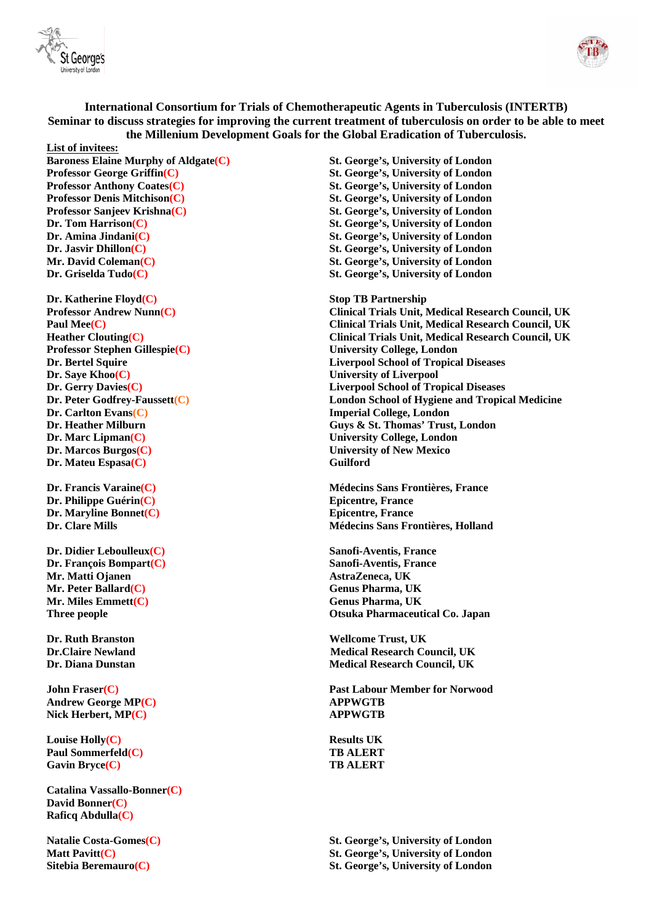



**International Consortium for Trials of Chemotherapeutic Agents in Tuberculosis (INTERTB) Seminar to discuss strategies for improving the current treatment of tuberculosis on order to be able to meet the Millenium Development Goals for the Global Eradication of Tuberculosis.** 

**List of invitees: Baroness Elaine Murphy of Aldgate(C)** St. George's, University of London **St.** George's, University of London **St. Professor George Griffin(C) St. George's, University of London Professor Anthony Coates(C) St. George's, University of London Professor Anthony Coates(C) St. George's, University of London Professor Denis Mitchison(C) St. George's, University of London Professor Sanjeev Krishna(C) St. George's, University of London Dr. Tom Harrison(C) St. George's, University of London Dr. Amina Jindani(C) St. George's, University of London Dr. Jasvir Dhillon(C) St. George's, University of London Mr. David Coleman(C) St. George's, University of London Dr. Griselda Tudo(C) St. George's, University of London** 

**Dr. Katherine Floyd(C) Stop TB Partnership Professor Stephen Gillespie(C) University College, London Dr. Saye Khoo(C)** University of Liverpool **Dr. Carlton Evans(C) Imperial College, London Dr. Marc Lipman(C) University College, London Dr. Marcos Burgos(C) University of New Mexico Dr. Mateu Espasa(C)** Guilford

**Dr. Philippe Guérin(C) Epicentre, France Dr. Maryline Bonnet(C)** Epicentre, France

**Dr. Didier Leboulleux(C) Sanofi-Aventis, France Dr. François Bompart(C)** Sanofi-Aventis, France **Mr. Matti Ojanen AstraZeneca, UK Mr. Peter Ballard(C) Genus Pharma, UK Genus Pharma, UK Mr. Miles Emmett(C) Genus Pharma, UK** 

**Andrew George MP(C) APPWGTB** Nick Herbert, MP(C) APPWGTB

**Louise Holly(C)** Results UK **Paul Sommerfeld(C) TB ALERT** Gavin Bryce(C) TB ALERT

**Catalina Vassallo-Bonner(C) David Bonner(C) Raficq Abdulla(C)**

**St. George's, University of London** 

**Professor Andrew Nunn(C) Clinical Trials Unit, Medical Research Council, UK Paul Mee(C) Clinical Trials Unit, Medical Research Council, UK Heather Clouting(C) Clinical Trials Unit, Medical Research Council, UK Dr. Bertel Squire Liverpool School of Tropical Diseases Dr. Gerry Davies(C) Liverpool School of Tropical Diseases Dr. Peter Godfrey-Faussett(C) London School of Hygiene and Tropical Medicine Dr. Heather Milburn Guys & St. Thomas' Trust, London** 

**Dr. Francis Varaine(C) Médecins Sans Frontières, France Dr. Clare Mills Médecins Sans Frontières, Holland** 

**Three people Otsuka Pharmaceutical Co. Japan** 

**Dr. Ruth Branston Wellcome Trust, UK Dr.Claire Newland Medical Research Council, UK Dr. Diana Dunstan Medical Research Council, UK** 

**John Fraser(C) Past Labour Member for Norwood** 

**Natalie Costa-Gomes(C) St. George's, University of London Matt Pavitt(C) St. George's, University of London Sitebia Beremauro(C) St. George's, University of London**